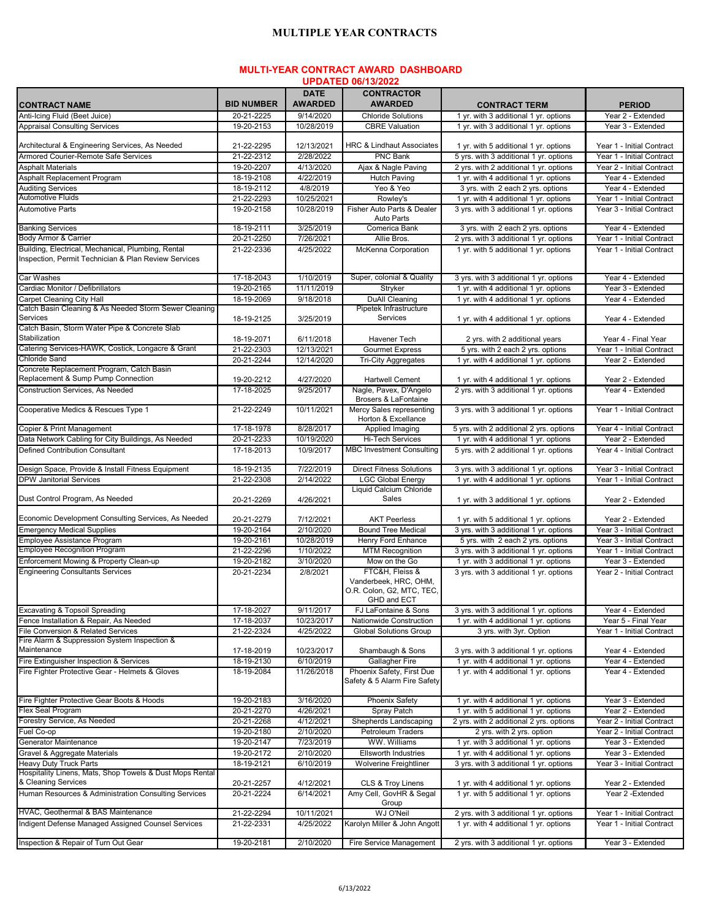## **MULTIPLE YEAR CONTRACTS**

## **MULTI-YEAR CONTRACT AWARD DASHBOARD UPDATED 06/13/2022**

|                                                                                                            |                   | <b>DATE</b>    | <b>CONTRACTOR</b>                                                                    |                                         |                           |
|------------------------------------------------------------------------------------------------------------|-------------------|----------------|--------------------------------------------------------------------------------------|-----------------------------------------|---------------------------|
| <b>CONTRACT NAME</b>                                                                                       | <b>BID NUMBER</b> | <b>AWARDED</b> | <b>AWARDED</b>                                                                       | <b>CONTRACT TERM</b>                    | <b>PERIOD</b>             |
| Anti-Icing Fluid (Beet Juice)                                                                              | 20-21-2225        | 9/14/2020      | <b>Chloride Solutions</b>                                                            | 1 yr. with 3 additional 1 yr. options   | Year 2 - Extended         |
| <b>Appraisal Consulting Services</b>                                                                       | 19-20-2153        | 10/28/2019     | <b>CBRE Valuation</b>                                                                | 1 yr. with 3 additional 1 yr. options   | Year 3 - Extended         |
| Architectural & Engineering Services, As Needed                                                            | 21-22-2295        | 12/13/2021     | <b>HRC &amp; Lindhaut Associates</b>                                                 | 1 yr. with 5 additional 1 yr. options   | Year 1 - Initial Contract |
| Armored Courier-Remote Safe Services                                                                       | 21-22-2312        | 2/28/2022      | <b>PNC Bank</b>                                                                      | 5 vrs. with 3 additional 1 vr. options  | Year 1 - Initial Contract |
| <b>Asphalt Materials</b>                                                                                   | 19-20-2207        | 4/13/2020      | Ajax & Nagle Paving                                                                  | 2 yrs. with 2 additional 1 yr. options  | Year 2 - Initial Contract |
| Asphalt Replacement Program                                                                                | 18-19-2108        | 4/22/2019      | <b>Hutch Paving</b>                                                                  | 1 yr. with 4 additional 1 yr. options   | Year 4 - Extended         |
| <b>Auditing Services</b>                                                                                   | 18-19-2112        | 4/8/2019       | Yeo & Yeo                                                                            | 3 yrs. with 2 each 2 yrs. options       | Year 4 - Extended         |
| <b>Automotive Fluids</b>                                                                                   | 21-22-2293        | 10/25/2021     | Rowley's                                                                             | 1 yr. with 4 additional 1 yr. options   | Year 1 - Initial Contract |
| <b>Automotive Parts</b>                                                                                    | 19-20-2158        | 10/28/2019     | Fisher Auto Parts & Dealer<br><b>Auto Parts</b>                                      | 3 yrs. with 3 additional 1 yr. options  | Year 3 - Initial Contract |
| <b>Banking Services</b>                                                                                    | 18-19-2111        | 3/25/2019      | Comerica Bank                                                                        | 3 yrs. with 2 each 2 yrs. options       | Year 4 - Extended         |
| Body Armor & Carrier                                                                                       | 20-21-2250        | 7/26/2021      | Allie Bros.                                                                          | 2 yrs. with 3 additional 1 yr. options  | Year 1 - Initial Contract |
| Building, Electrical, Mechanical, Plumbing, Rental<br>Inspection, Permit Technician & Plan Review Services | 21-22-2336        | 4/25/2022      | McKenna Corporation                                                                  | 1 yr. with 5 additional 1 yr. options   | Year 1 - Initial Contract |
| Car Washes                                                                                                 | 17-18-2043        | 1/10/2019      | Super, colonial & Quality                                                            | 3 yrs. with 3 additional 1 yr. options  | Year 4 - Extended         |
| Cardiac Monitor / Defibrillators                                                                           | 19-20-2165        | 11/11/2019     | Stryker                                                                              | 1 yr. with 4 additional 1 yr. options   | Year 3 - Extended         |
| <b>Carpet Cleaning City Hall</b>                                                                           | 18-19-2069        | 9/18/2018      | DuAll Cleaning                                                                       | 1 yr. with 4 additional 1 yr. options   | Year 4 - Extended         |
| Catch Basin Cleaning & As Needed Storm Sewer Cleaning                                                      |                   |                | Pipetek Infrastructure                                                               |                                         |                           |
| Services                                                                                                   | 18-19-2125        | 3/25/2019      | Services                                                                             | 1 yr. with 4 additional 1 yr. options   | Year 4 - Extended         |
| Catch Basin, Storm Water Pipe & Concrete Slab<br>Stabilization                                             | 18-19-2071        | 6/11/2018      | Havener Tech                                                                         | 2 yrs. with 2 additional years          | Year 4 - Final Year       |
| Catering Services-HAWK, Costick, Longacre & Grant                                                          | 21-22-2303        | 12/13/2021     | <b>Gourmet Express</b>                                                               | 5 yrs. with 2 each 2 yrs. options       | Year 1 - Initial Contract |
| <b>Chloride Sand</b>                                                                                       | 20-21-2244        | 12/14/2020     | <b>Tri-City Aggregates</b>                                                           | 1 yr. with 4 additional 1 yr. options   | Year 2 - Extended         |
| Concrete Replacement Program, Catch Basin                                                                  |                   |                |                                                                                      |                                         |                           |
| Replacement & Sump Pump Connection                                                                         | 19-20-2212        | 4/27/2020      | <b>Hartwell Cement</b>                                                               | 1 yr. with 4 additional 1 yr. options   | Year 2 - Extended         |
| Construction Services, As Needed                                                                           | 17-18-2025        | 9/25/2017      | Nagle, Pavex, D'Angelo<br>Brosers & LaFontaine                                       | 2 yrs. with 3 additional 1 yr. options  | Year 4 - Extended         |
| Cooperative Medics & Rescues Type 1                                                                        | 21-22-2249        | 10/11/2021     | Mercy Sales representing<br>Horton & Excellance                                      | 3 yrs. with 3 additional 1 yr. options  | Year 1 - Initial Contract |
| Copier & Print Management                                                                                  | 17-18-1978        | 8/28/2017      | Applied Imaging                                                                      | 5 yrs. with 2 additional 2 yrs. options | Year 4 - Initial Contract |
| Data Network Cabling for City Buildings, As Needed                                                         | 20-21-2233        | 10/19/2020     | Hi-Tech Services                                                                     | 1 yr. with 4 additional 1 yr. options   | Year 2 - Extended         |
| <b>Defined Contribution Consultant</b>                                                                     | 17-18-2013        | 10/9/2017      | <b>MBC Investment Consulting</b>                                                     | 5 yrs. with 2 additional 1 yr. options  | Year 4 - Initial Contract |
| Design Space, Provide & Install Fitness Equipment                                                          | 18-19-2135        | 7/22/2019      | <b>Direct Fitness Solutions</b>                                                      | 3 yrs. with 3 additional 1 yr. options  | Year 3 - Initial Contract |
| <b>DPW Janitorial Services</b>                                                                             | 21-22-2308        | 2/14/2022      | <b>LGC Global Energy</b>                                                             | 1 yr. with 4 additional 1 yr. options   | Year 1 - Initial Contract |
| Dust Control Program, As Needed                                                                            | 20-21-2269        | 4/26/2021      | Liquid Calcium Chloride<br>Sales                                                     | 1 yr. with 3 additional 1 yr. options   | Year 2 - Extended         |
| Economic Development Consulting Services, As Needed                                                        | 20-21-2279        | 7/12/2021      | <b>AKT Peerless</b>                                                                  | 1 yr. with 5 additional 1 yr. options   | Year 2 - Extended         |
| <b>Emergency Medical Supplies</b>                                                                          | 19-20-2164        | 2/10/2020      | <b>Bound Tree Medical</b>                                                            | 3 yrs. with 3 additional 1 yr. options  | Year 3 - Initial Contract |
| Employee Assistance Program                                                                                | 19-20-2161        | 10/28/2019     | Henry Ford Enhance                                                                   | 5 yrs. with 2 each 2 yrs. options       | Year 3 - Initial Contract |
| <b>Employee Recognition Program</b>                                                                        | 21-22-2296        | 1/10/2022      | <b>MTM Recognition</b>                                                               | 3 yrs. with 3 additional 1 yr. options  | Year 1 - Initial Contract |
| Enforcement Mowing & Property Clean-up                                                                     | 19-20-2182        | 3/10/2020      | Mow on the Go                                                                        | 1 yr. with 3 additional 1 yr. options   | Year 3 - Extended         |
| <b>Engineering Consultants Services</b>                                                                    | 20-21-2234        | 2/8/2021       | FTC&H, Fleiss &<br>Vanderbeek, HRC, OHM,<br>O.R. Colon, G2, MTC, TEC,<br>GHD and ECT | 3 yrs. with 3 additional 1 yr. options  | Year 2 - Initial Contract |
| <b>Excavating &amp; Topsoil Spreading</b>                                                                  | 17-18-2027        | 9/11/2017      | FJ LaFontaine & Sons                                                                 | 3 yrs. with 3 additional 1 yr. options  | Year 4 - Extended         |
| Fence Installation & Repair, As Needed                                                                     | 17-18-2037        | 10/23/2017     | Nationwide Construction                                                              | 1 yr. with 4 additional 1 yr. options   | Year 5 - Final Year       |
| File Conversion & Related Services                                                                         | 21-22-2324        | 4/25/2022      | Global Solutions Group                                                               | 3 yrs. with 3yr. Option                 | Year 1 - Initial Contract |
| Fire Alarm & Suppression System Inspection &                                                               |                   |                |                                                                                      |                                         |                           |
| Maintenance                                                                                                | 17-18-2019        | 10/23/2017     | Shambaugh & Sons                                                                     | 3 yrs. with 3 additional 1 yr. options  | Year 4 - Extended         |
| Fire Extinguisher Inspection & Services                                                                    | 18-19-2130        | 6/10/2019      | Gallagher Fire                                                                       | 1 yr. with 4 additional 1 yr. options   | Year 4 - Extended         |
| Fire Fighter Protective Gear - Helmets & Gloves                                                            | 18-19-2084        | 11/26/2018     | Phoenix Safety, First Due<br>Safety & 5 Alarm Fire Safety                            | 1 yr. with 4 additional 1 yr. options   | Year 4 - Extended         |
| Fire Fighter Protective Gear Boots & Hoods                                                                 | 19-20-2183        | 3/16/2020      | Phoenix Safety                                                                       | 1 yr. with 4 additional 1 yr. options   | Year 3 - Extended         |
| <b>Flex Seal Program</b>                                                                                   | 20-21-2270        | 4/26/2021      | Spray Patch                                                                          | 1 yr. with 5 additional 1 yr. options   | Year 2 - Extended         |
| Forestry Service, As Needed                                                                                | 20-21-2268        | 4/12/2021      | Shepherds Landscaping                                                                | 2 yrs. with 2 additional 2 yrs. options | Year 2 - Initial Contract |
| Fuel Co-op                                                                                                 | 19-20-2180        | 2/10/2020      | Petroleum Traders                                                                    | 2 yrs. with 2 yrs. option               | Year 2 - Initial Contract |
| Generator Maintenance                                                                                      | 19-20-2147        | 7/23/2019      | WW. Williams                                                                         | 1 yr. with 3 additional 1 yr. options   | Year 3 - Extended         |
| Gravel & Aggregate Materials                                                                               | 19-20-2172        | 2/10/2020      | <b>Ellsworth Industries</b>                                                          | 1 yr. with 4 additional 1 yr. options   | Year 3 - Extended         |
| Heavy Duty Truck Parts                                                                                     | 18-19-2121        | 6/10/2019      | Wolverine Freightliner                                                               | 3 yrs. with 3 additional 1 yr. options  | Year 3 - Initial Contract |
| Hospitality Linens, Mats, Shop Towels & Dust Mops Rental<br>& Cleaning Services                            | 20-21-2257        | 4/12/2021      | CLS & Troy Linens                                                                    | 1 yr. with 4 additional 1 yr. options   | Year 2 - Extended         |
| Human Resources & Administration Consulting Services                                                       | 20-21-2224        | 6/14/2021      | Amy Cell, GovHR & Segal<br>Group                                                     | 1 yr. with 5 additional 1 yr. options   | Year 2 - Extended         |
| HVAC, Geothermal & BAS Maintenance                                                                         | 21-22-2294        | 10/11/2021     | WJ O'Neil                                                                            | 2 yrs. with 3 additional 1 yr. options  | Year 1 - Initial Contract |
| Indigent Defense Managed Assigned Counsel Services                                                         | 21-22-2331        | 4/25/2022      | Karolyn Miller & John Angott                                                         | 1 yr. with 4 additional 1 yr. options   | Year 1 - Initial Contract |
| Inspection & Repair of Turn Out Gear                                                                       | 19-20-2181        | 2/10/2020      | Fire Service Management                                                              | 2 yrs. with 3 additional 1 yr. options  | Year 3 - Extended         |